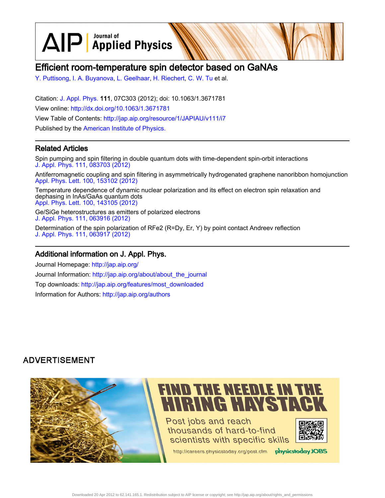$\text{AlP}$  Applied Physics

# Efficient room-temperature spin detector based on GaNAs

[Y. Puttisong,](http://jap.aip.org/search?sortby=newestdate&q=&searchzone=2&searchtype=searchin&faceted=faceted&key=AIP_ALL&possible1=Y. Puttisong&possible1zone=author&alias=&displayid=AIP&ver=pdfcov) [I. A. Buyanova](http://jap.aip.org/search?sortby=newestdate&q=&searchzone=2&searchtype=searchin&faceted=faceted&key=AIP_ALL&possible1=I. A. Buyanova&possible1zone=author&alias=&displayid=AIP&ver=pdfcov), [L. Geelhaar](http://jap.aip.org/search?sortby=newestdate&q=&searchzone=2&searchtype=searchin&faceted=faceted&key=AIP_ALL&possible1=L. Geelhaar&possible1zone=author&alias=&displayid=AIP&ver=pdfcov), [H. Riechert,](http://jap.aip.org/search?sortby=newestdate&q=&searchzone=2&searchtype=searchin&faceted=faceted&key=AIP_ALL&possible1=H. Riechert&possible1zone=author&alias=&displayid=AIP&ver=pdfcov) [C. W. Tu](http://jap.aip.org/search?sortby=newestdate&q=&searchzone=2&searchtype=searchin&faceted=faceted&key=AIP_ALL&possible1=C. W. Tu&possible1zone=author&alias=&displayid=AIP&ver=pdfcov) et al.

Citation: [J. Appl. Phys.](http://jap.aip.org/?ver=pdfcov) 111, 07C303 (2012); doi: 10.1063/1.3671781 View online: [http://dx.doi.org/10.1063/1.3671781](http://link.aip.org/link/doi/10.1063/1.3671781?ver=pdfcov) View Table of Contents: [http://jap.aip.org/resource/1/JAPIAU/v111/i7](http://jap.aip.org/resource/1/JAPIAU/v111/i7?ver=pdfcov) Published by the [American Institute of Physics.](http://www.aip.org/?ver=pdfcov)

## Related Articles

Spin pumping and spin filtering in double quantum dots with time-dependent spin-orbit interactions [J. Appl. Phys. 111, 083703 \(2012\)](http://link.aip.org/link/doi/10.1063/1.3703567?ver=pdfcov)

Antiferromagnetic coupling and spin filtering in asymmetrically hydrogenated graphene nanoribbon homojunction [Appl. Phys. Lett. 100, 153102 \(2012\)](http://link.aip.org/link/doi/10.1063/1.3701612?ver=pdfcov)

Temperature dependence of dynamic nuclear polarization and its effect on electron spin relaxation and dephasing in InAs/GaAs quantum dots [Appl. Phys. Lett. 100, 143105 \(2012\)](http://link.aip.org/link/doi/10.1063/1.3701273?ver=pdfcov)

Ge/SiGe heterostructures as emitters of polarized electrons [J. Appl. Phys. 111, 063916 \(2012\)](http://link.aip.org/link/doi/10.1063/1.3698290?ver=pdfcov)

Determination of the spin polarization of RFe2 (R=Dy, Er, Y) by point contact Andreev reflection [J. Appl. Phys. 111, 063917 \(2012\)](http://link.aip.org/link/doi/10.1063/1.3698597?ver=pdfcov)

#### Additional information on J. Appl. Phys.

Journal Homepage: [http://jap.aip.org/](http://jap.aip.org/?ver=pdfcov) Journal Information: [http://jap.aip.org/about/about\\_the\\_journal](http://jap.aip.org/about/about_the_journal?ver=pdfcov) Top downloads: [http://jap.aip.org/features/most\\_downloaded](http://jap.aip.org/features/most_downloaded?ver=pdfcov) Information for Authors: [http://jap.aip.org/authors](http://jap.aip.org/authors?ver=pdfcov)

# **ADVERTISEMENT**

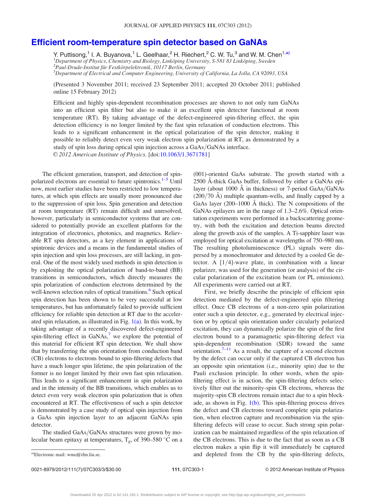### [Efficient room-temperature spin detector based on GaNAs](http://dx.doi.org/10.1063/1.3671781)

Y. Puttisong,<sup>1</sup> I. A. Buyanova,<sup>1</sup> L. Geelhaar,<sup>2</sup> H. Riechert,<sup>2</sup> C. W. Tu,<sup>3</sup> and W. M. Chen<sup>1,a)</sup> <sup>1</sup>Department of Physics, Chemistry and Biology, Linköping University, S-581 83 Linköping, Sweden<br><sup>2</sup>Paul Drude Institut für Eestkörpelektronik, 10117 Berlin, Germany  $^{2}$ Paul-Drude-Institut für Festkörpelektronik, 10117 Berlin, Germany  ${}^{3}$ Department of Electrical and Computer Engineering, University of California, La Jolla, CA 92093, USA

(Presented 3 November 2011; received 23 September 2011; accepted 20 October 2011; published online 15 February 2012)

Efficient and highly spin-dependent recombination processes are shown to not only turn GaNAs into an efficient spin filter but also to make it an excellent spin detector functional at room temperature (RT). By taking advantage of the defect-engineered spin-filtering effect, the spin detection efficiency is no longer limited by the fast spin relaxation of conduction electrons. This leads to a significant enhancement in the optical polarization of the spin detector, making it possible to reliably detect even very weak electron spin polarization at RT, as demonstrated by a study of spin loss during optical spin injection across a GaAs/GaNAs interface. V<sup>C</sup> 2012 American Institute of Physics. [doi:[10.1063/1.3671781](http://dx.doi.org/10.1063/1.3671781)]

The efficient generation, transport, and detection of spinpolarized electrons are essential to future spintronics.<sup>1–5</sup> Until now, most earlier studies have been restricted to low temperatures, at which spin effects are usually more pronounced due to the suppression of spin loss. Spin generation and detection at room temperature (RT) remain difficult and unresolved, however, particularly in semiconductor systems that are considered to potentially provide an excellent platform for the integration of electronics, photonics, and magnetics. Relievable RT spin detectors, as a key element in applications of spintronic devices and a means in the fundamental studies of spin injection and spin loss processes, are still lacking, in general. One of the most widely used methods in spin detection is by exploiting the optical polarization of band-to-band (BB) transitions in semiconductors, which directly measures the spin polarization of conduction electrons determined by the well-known selection rules of optical transitions.<sup>6</sup> Such optical spin detection has been shown to be very successful at low temperatures, but has unfortunately failed to provide sufficient efficiency for reliable spin detection at RT due to the accelerated spin relaxation, as illustrated in Fig.  $1(a)$ . In this work, by taking advantage of a recently discovered defect-engineered spin-filtering effect in  $GaNAs$ ,<sup>7</sup> we explore the potential of this material for efficient RT spin detection. We shall show that by transferring the spin orientation from conduction band (CB) electrons to electrons bound to spin-filtering defects that have a much longer spin lifetime, the spin polarization of the former is no longer limited by their own fast spin relaxation. This leads to a significant enhancement in spin polarization and in the intensity of the BB transitions, which enables us to detect even very weak electron spin polarization that is often encountered at RT. The effectiveness of such a spin detector is demonstrated by a case study of optical spin injection from a GaAs spin injection layer to an adjacent GaNAs spin detector.

The studied GaAs/GaNAs structures were grown by molecular beam epitaxy at temperatures,  $T_g$ , of 390–580 °C on a (001)-oriented GaAs substrate. The growth started with a 2500 A-thick GaAs buffer, followed by either a GaNAs epilayer (about 1000 A in thickness) or 7-period  $GaAs/GaNAs$  $(200/70 \text{ Å})$  multiple quantum-wells, and finally capped by a GaAs layer  $(200-1000 \text{ Å}$  thick). The N compositions of the GaNAs epilayers are in the range of 1.3–2.6%. Optical orientation experiments were performed in a backscattering geometry, with both the excitation and detection beams directed along the growth axis of the samples. A Ti-sapphire laser was employed for optical excitation at wavelengths of 750–980 nm. The resulting photoluminescence (PL) signals were dispersed by a monochromator and detected by a cooled Ge detector. A  $[1/4]$ -wave plate, in combination with a linear polarizer, was used for the generation (or analysis) of the circular polarization of the excitation beam (or PL emissions). All experiments were carried out at RT.

First, we briefly describe the principle of efficient spin detection mediated by the defect-engineered spin filtering effect. Once CB electrons of a non-zero spin polarization enter such a spin detector, e.g., generated by electrical injection or by optical spin orientation under circularly polarized excitation, they can dynamically polarize the spin of the first electron bound to a paramagnetic spin-filtering defect via spin-dependent recombination (SDR) toward the same orientation.<sup>7–11</sup> As a result, the capture of a second electron by the defect can occur only if the captured CB electron has an opposite spin orientation (i.e., minority spin) due to the Pauli exclusion principle. In other words, when the spinfiltering effect is in action, the spin-filtering defects selectively filter out the minority-spin CB electrons, whereas the majority-spin CB electrons remain intact due to a spin blockade, as shown in Fig.  $1(b)$ . This spin-filtering process drives the defect and CB electrons toward complete spin polarization, when electron capture and recombination via the spinfiltering defects will cease to occur. Such strong spin polarization can be maintained regardless of the spin relaxation of the CB electrons. This is due to the fact that as soon as a CB electron makes a spin flip it will immediately be captured and depleted from the CB by the spin-filtering defects, and depleted from the CB by the spin-filtering defects,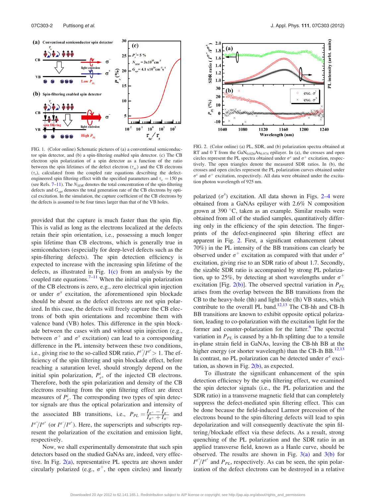<span id="page-2-0"></span>

FIG. 1. (Color online) Schematic pictures of (a) a conventional semiconductor spin detector, and (b) a spin-filtering enabled spin detector. (c) The CB electron spin polarization of a spin detector as a function of the ratio between the spin lifetimes of the defect electron  $(\tau_{sc})$  and the CB electrons  $(\tau_{s})$ , calculated from the coupled rate equations describing the defectengineered spin filtering effect with the specified parameters and  $\tau_s = 150 \text{ ps}$ (see Refs.  $7-11$ ). The  $N_{SDR}$  denotes the total concentration of the spin-filtering defects and  $G_{opt}$  denotes the total generation rate of the CB electrons by optical excitation. In the simulation, the capture coefficient of the CB electrons by the defects is assumed to be four times larger than that of the VB holes.

provided that the capture is much faster than the spin flip. This is valid as long as the electrons localized at the defects retain their spin orientation, i.e., possessing a much longer spin lifetime than CB electrons, which is generally true in semiconductors (especially for deep-level defects such as the spin-filtering defects). The spin detection efficiency is expected to increase with the increasing spin lifetime of the defects, as illustrated in Fig.  $1(c)$  from an analysis by the coupled rate equations.<sup>7–11</sup> When the initial spin polarization of the CB electrons is zero, e.g., zero electrical spin injection or under  $\sigma^x$  excitation, the aforementioned spin blockade should be absent as the defect electrons are not spin polarized. In this case, the defects will freely capture the CB electrons of both spin orientations and recombine them with valence band (VB) holes. This difference in the spin blockade between the cases with and without spin injection (e.g., between  $\sigma^+$  and  $\sigma^x$  excitation) can lead to a corresponding difference in the PL intensity between these two conditions, i.e., giving rise to the so-called SDR ratio,  $I^{\sigma^+}/I^{\sigma^x} > 1$ . The efficiency of the spin filtering and spin blockade effect, before reaching a saturation level, should strongly depend on the initial spin polarization,  $P_e^i$ , of the injected CB electrons. Therefore, both the spin polarization and density of the CB electrons resulting from the spin filtering effect are direct measures of  $P_e^i$ . The corresponding two types of spin detector signals are thus the optical polarization and intensity of the associated BB transitions, i.e.,  $P_{PL} = \frac{I_{\sigma^+} - I_{\sigma^-}}{I_{\sigma^+} + I_{\sigma^-}}$  and  $I^{\sigma^+}/I^{\sigma^x}$  (or  $I^{\sigma^-}/I^{\sigma^x}$ ). Here, the superscripts and subscripts represent the polarization of the excitation and emission light, respectively.

Now, we shall experimentally demonstrate that such spin detectors based on the studied GaNAs are, indeed, very effective. In Fig.  $2(a)$ , representative PL spectra are shown under circularly polarized (e.g.,  $\sigma^+$ , the open circles) and linearly



FIG. 2. (Color online) (a) PL, SDR, and (b) polarization spectra obtained at RT and 0 T from the  $GaN<sub>0.026</sub>As<sub>0.974</sub>$  epilayer. In (a), the crosses and open circles represent the PL spectra obtained under  $\sigma^x$  and  $\sigma^+$  excitation, respectively. The open triangles denote the measured SDR ratios. In (b), the crosses and open circles represent the PL polarization curves obtained under  $\sigma^x$  and  $\sigma^+$  excitation, respectively. All data were obtained under the excitation photon wavelength of 925 nm.

polarized  $(\sigma^x)$  excitation. All data shown in Figs. 2–4 were obtained from a GaNAs epilayer with 2.6% N composition grown at 390 °C, taken as an example. Similar results were obtained from all of the studied samples, quantitatively differing only in the efficiency of the spin detection. The fingerprints of the defect-engineered spin filtering effect are apparent in Fig. 2. First, a significant enhancement (about 70%) in the PL intensity of the BB transitions can clearly be observed under  $\sigma^+$  excitation as compared with that under  $\sigma^x$ excitation, giving rise to an SDR ratio of about 1.7. Secondly, the sizable SDR ratio is accompanied by strong PL polarization, up to 25%, by detecting at short wavelengths under  $\sigma^+$ excitation [Fig. 2(b)]. The observed spectral variation in  $P_{PL}$ arises from the overlap between the BB transitions from the CB to the heavy-hole (hh) and light-hole (lh) VB states, which contribute to the overall PL band[.12,13](#page-3-0) The CB-hh and CB-lh BB transitions are known to exhibit opposite optical polarization, leading to co-polarization with the excitation light for the former and counter-polarization for the latter.<sup>6</sup> The spectral variation in  $P_{PL}$  is caused by a hh-lh splitting due to a tensile in-plane strain field in GaNAs, leaving the CB-hh BB at the higher energy (or shorter wavelength) than the CB-lh BB. $^{12,13}$ In contrast, no PL polarization can be detected under  $\sigma^x$  excitation, as shown in Fig.  $2(b)$ , as expected.

To illustrate the significant enhancement of the spin detection efficiency by the spin filtering effect, we examined the spin detector signals (i.e., the PL polarization and the SDR ratio) in a transverse magnetic field that can completely suppress the defect-mediated spin filtering effect. This can be done because the field-induced Larmor precession of the electrons bound to the spin-filtering defects will lead to spin depolarization and will consequently deactivate the spin filtering/blockade effect via these defects. As a result, strong quenching of the PL polarization and the SDR ratio in an applied transverse field, known as a Hanle curve, should be observed. The results are shown in Fig.  $3(a)$  and  $3(b)$  for  $I^{\sigma^+}/I^{\sigma^x}$  and  $P_{PL}$ , respectively. As can be seen, the spin polarization of the defect electrons can be destroyed in a relative